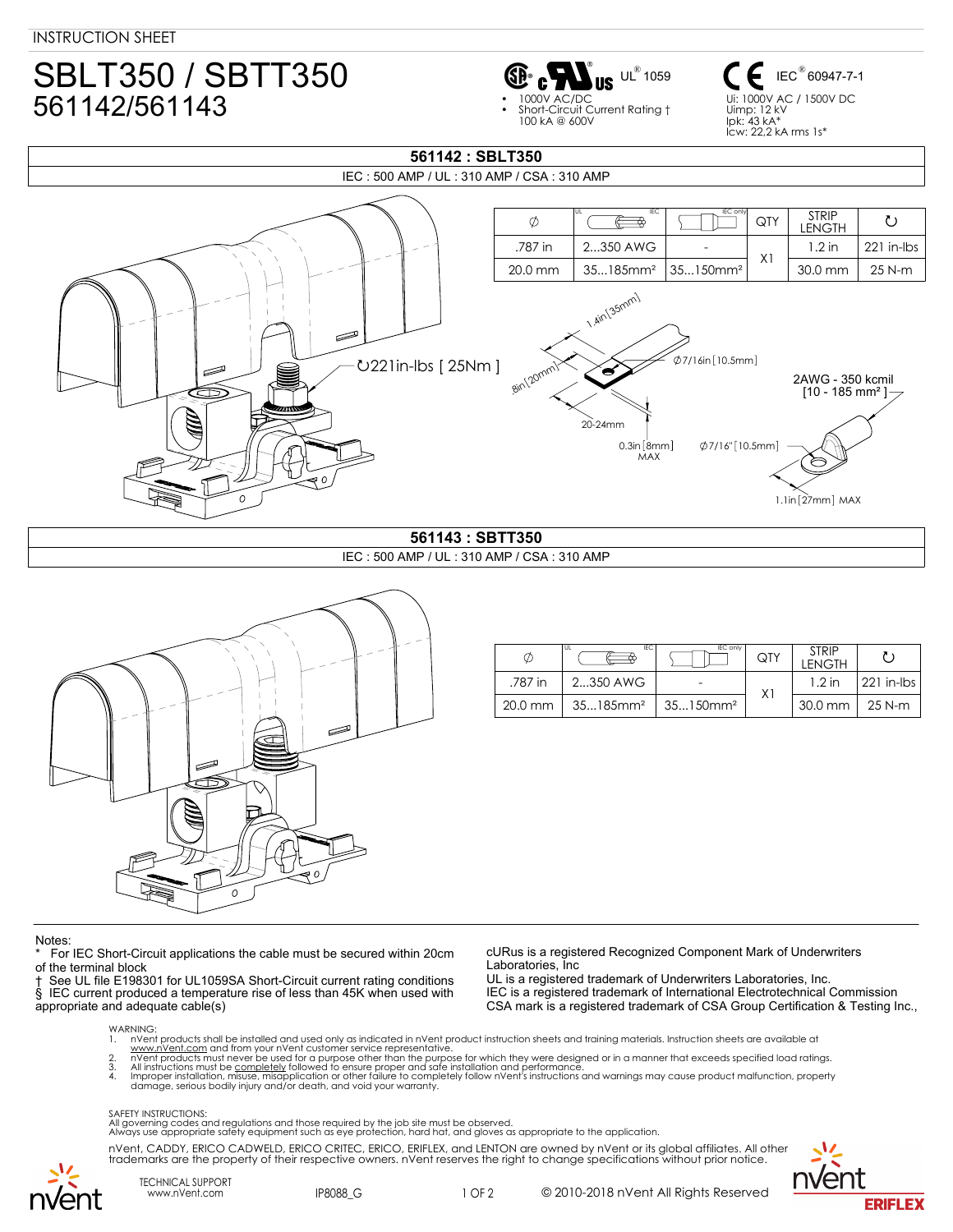# SBLT350 / SBTT350 561142/561143



IEC<sup>®</sup> 60947-7-1 Ui: 1000V AC / 1500V DC Uimp: 12 kV  $lnk$  43 kA $^{\circ}$ Icw: 22,2 kA rms 1s\*

## IEC : 500 AMP / UL : 310 AMP / CSA : 310 AMP  $QTY$   $STRIP$ UL IEC I <u>In Figure International International</u>  $\phi$ LENGTH  $\begin{array}{|c|c|c|c|c|}\n \hline .787 \text{ in} & 2...350 \text{ AWG} & - \\
\hline\n 20.0 \text{ mm} & 35...185 \text{ mm}^2 & 35...150 \text{ mm}^2 & X1\n \end{array}$ 1.2 in 221 in-lbs 20.0 mm 35...185mm² 35...150mm² 30.0 mm 25 N-m 1.4in (35mm) €  $\emptyset$ 7/16in [10.5mm] 221in-lbs [ 25Nm ] .8in 20mm ś 2AWG - 350 kcmil  $[10 - 185$  mm<sup>2</sup>] 20-24mm  $0.3$ in  $[8mm]$  $Ø7/16" [10.5mm]$ MAX  $\Omega$  $1.1$ in $[27mm]$  MAX **561143 : SBTT350**

**561142 : SBLT350**

## IEC : 500 AMP / UL : 310 AMP / CSA : 310 AMP



| Ø         | IEC<br>l UL             | <b>IEC only</b>         | QTY | <b>STRIP</b><br><b>LENGTH</b> |            |
|-----------|-------------------------|-------------------------|-----|-------------------------------|------------|
| .787 in   | 2350 AWG                |                         | X١  | $1.2$ in                      | 221 in-Ibs |
| $20.0$ mm | $35185$ mm <sup>2</sup> | $35150$ mm <sup>2</sup> |     | $30.0$ mm $\parallel$         | 25 N-m     |

### **Notes**

For IEC Short-Circuit applications the cable must be secured within 20cm

of the terminal block<br>
† See UL file E198301 for UL1059SA Short-Circuit current rating conditions † See UL file E198301 for UL1059SA Short-Circuit current rating conditions § IEC current produced a temperature rise of less than 45K when used with appropriate and adequate cable(s)

cURus is a registered Recognized Component Mark of Underwriters Laboratories, Inc

UL is a registered trademark of Underwriters Laboratories, Inc. IEC is a registered trademark of International Electrotechnical Commission CSA mark is a registered trademark of CSA Group Certification & Testing Inc.,

WARNING<br>1. nVen

1. nVent products shall be installed and used only as indicated in nVent product instruction sheets and training materials. Instruction sheets are available at

www.nVe<u>nt.com</u> and from your nVent customer service representative.<br>2. nVent products must never be used for a purpose other than the purpose for which they were designed or in a manner that exceeds specified load rat

damage, serious bodily injury and/or death, and void your warranty.

### SAFETY INSTRUCTIONS:

All governing codes and regulations and those required by the job site must be observed. Always use appropriate safety equipment such as eye protection, hard hat, and gloves as appropriate to the application.

nVent, CADDY, ERICO CADWELD, ERICO CRITEC, ERICO, ERIFLEX, and LENTON are owned by nVent or its global affiliates. All other trademarks are the property of their respective owners. nVent reserves the right to change specifications without prior notice.



TECHNICAL SUPPORT

www.nVent.com IP8088\_G 1 OF 2

© 2010-2018 nVent All Rights Reserved